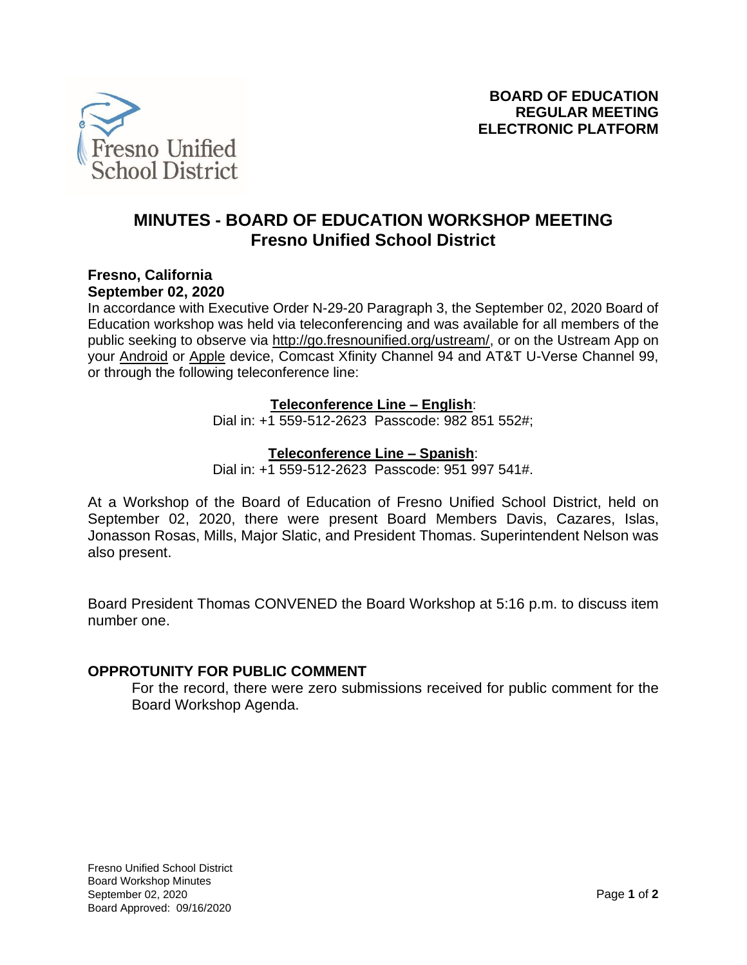

# **MINUTES - BOARD OF EDUCATION WORKSHOP MEETING Fresno Unified School District**

#### **Fresno, California September 02, 2020**

In accordance with Executive Order N-29-20 Paragraph 3, the September 02, 2020 Board of Education workshop was held via teleconferencing and was available for all members of the public seeking to observe via [http://go.fresnounified.org/ustream/,](http://go.fresnounified.org/ustream/) or on the Ustream App on your [Android](https://play.google.com/store/apps/details?id=tv.ustream.ustream&hl=en_US) or [Apple](https://itunes.apple.com/us/app/ustream/id301520250?mt=8) device, Comcast Xfinity Channel 94 and AT&T U-Verse Channel 99, or through the following teleconference line:

# **Teleconference Line – English**:

Dial in: +1 559-512-2623 Passcode: 982 851 552#;

# **Teleconference Line – Spanish**:

Dial in: +1 559-512-2623 Passcode: 951 997 541#.

At a Workshop of the Board of Education of Fresno Unified School District, held on September 02, 2020, there were present Board Members Davis, Cazares, Islas, Jonasson Rosas, Mills, Major Slatic, and President Thomas. Superintendent Nelson was also present.

Board President Thomas CONVENED the Board Workshop at 5:16 p.m. to discuss item number one.

# **OPPROTUNITY FOR PUBLIC COMMENT**

For the record, there were zero submissions received for public comment for the Board Workshop Agenda.